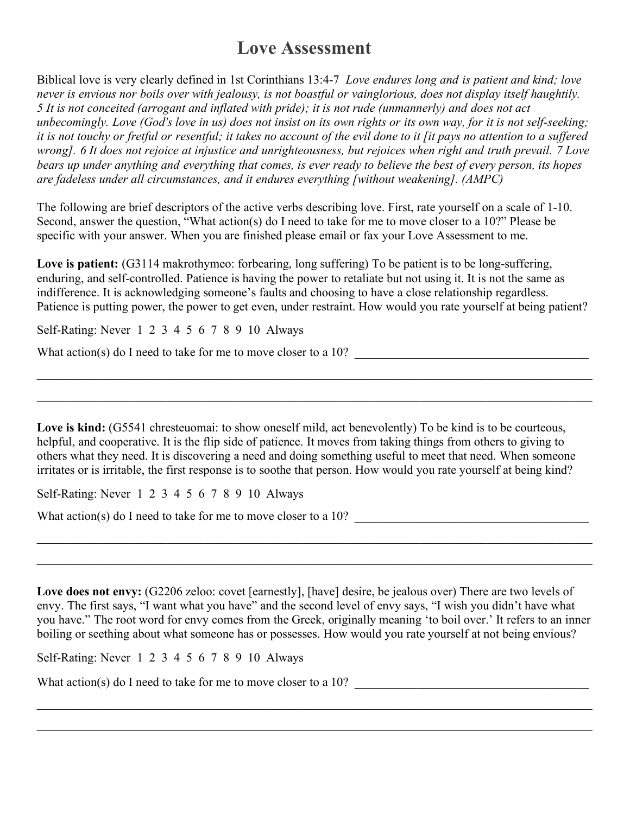## **Love Assessment**

Biblical love is very clearly defined in 1st Corinthians 13:4-7 *Love endures long and is patient and kind; love never is envious nor boils over with jealousy, is not boastful or vainglorious, does not display itself haughtily. 5 It is not conceited (arrogant and inflated with pride); it is not rude (unmannerly) and does not act unbecomingly. Love (God's love in us) does not insist on its own rights or its own way, for it is not self-seeking; it is not touchy or fretful or resentful; it takes no account of the evil done to it [it pays no attention to a suffered wrong]. 6 It does not rejoice at injustice and unrighteousness, but rejoices when right and truth prevail. 7 Love bears up under anything and everything that comes, is ever ready to believe the best of every person, its hopes are fadeless under all circumstances, and it endures everything [without weakening]. (AMPC)*

The following are brief descriptors of the active verbs describing love. First, rate yourself on a scale of 1-10. Second, answer the question, "What action(s) do I need to take for me to move closer to a 10?" Please be specific with your answer. When you are finished please email or fax your Love Assessment to me.

**Love is patient:** (G3114 makrothymeo: forbearing, long suffering) To be patient is to be long-suffering, enduring, and self-controlled. Patience is having the power to retaliate but not using it. It is not the same as indifference. It is acknowledging someone's faults and choosing to have a close relationship regardless. Patience is putting power, the power to get even, under restraint. How would you rate yourself at being patient?

 $\mathcal{L}_\mathcal{L} = \mathcal{L}_\mathcal{L} = \mathcal{L}_\mathcal{L} = \mathcal{L}_\mathcal{L} = \mathcal{L}_\mathcal{L} = \mathcal{L}_\mathcal{L} = \mathcal{L}_\mathcal{L} = \mathcal{L}_\mathcal{L} = \mathcal{L}_\mathcal{L} = \mathcal{L}_\mathcal{L} = \mathcal{L}_\mathcal{L} = \mathcal{L}_\mathcal{L} = \mathcal{L}_\mathcal{L} = \mathcal{L}_\mathcal{L} = \mathcal{L}_\mathcal{L} = \mathcal{L}_\mathcal{L} = \mathcal{L}_\mathcal{L}$ 

 $\_$  , and the contribution of the contribution of the contribution of the contribution of the contribution of  $\mathcal{L}_\text{max}$ 

Self-Rating: Never 1 2 3 4 5 6 7 8 9 10 Always

What action(s) do I need to take for me to move closer to a 10?

Love is kind: (G5541 chresteuomai: to show oneself mild, act benevolently) To be kind is to be courteous, helpful, and cooperative. It is the flip side of patience. It moves from taking things from others to giving to others what they need. It is discovering a need and doing something useful to meet that need. When someone irritates or is irritable, the first response is to soothe that person. How would you rate yourself at being kind?

Self-Rating: Never 1 2 3 4 5 6 7 8 9 10 Always

What action(s) do I need to take for me to move closer to a 10?

Love does not envy: (G2206 zeloo: covet [earnestly], [have] desire, be jealous over) There are two levels of envy. The first says, "I want what you have" and the second level of envy says, "I wish you didn't have what you have." The root word for envy comes from the Greek, originally meaning 'to boil over.' It refers to an inner boiling or seething about what someone has or possesses. How would you rate yourself at not being envious?

 $\_$  , and the contribution of the contribution of the contribution of the contribution of the contribution of  $\mathcal{L}_\text{max}$ 

 $\_$  , and the contribution of the contribution of the contribution of the contribution of the contribution of  $\mathcal{L}_\text{max}$ 

 $\_$  , and the contribution of the contribution of the contribution of the contribution of the contribution of  $\mathcal{L}_\text{max}$ 

 $\mathcal{L}_\mathcal{L} = \mathcal{L}_\mathcal{L} = \mathcal{L}_\mathcal{L} = \mathcal{L}_\mathcal{L} = \mathcal{L}_\mathcal{L} = \mathcal{L}_\mathcal{L} = \mathcal{L}_\mathcal{L} = \mathcal{L}_\mathcal{L} = \mathcal{L}_\mathcal{L} = \mathcal{L}_\mathcal{L} = \mathcal{L}_\mathcal{L} = \mathcal{L}_\mathcal{L} = \mathcal{L}_\mathcal{L} = \mathcal{L}_\mathcal{L} = \mathcal{L}_\mathcal{L} = \mathcal{L}_\mathcal{L} = \mathcal{L}_\mathcal{L}$ 

Self-Rating: Never 1 2 3 4 5 6 7 8 9 10 Always

What action(s) do I need to take for me to move closer to a 10?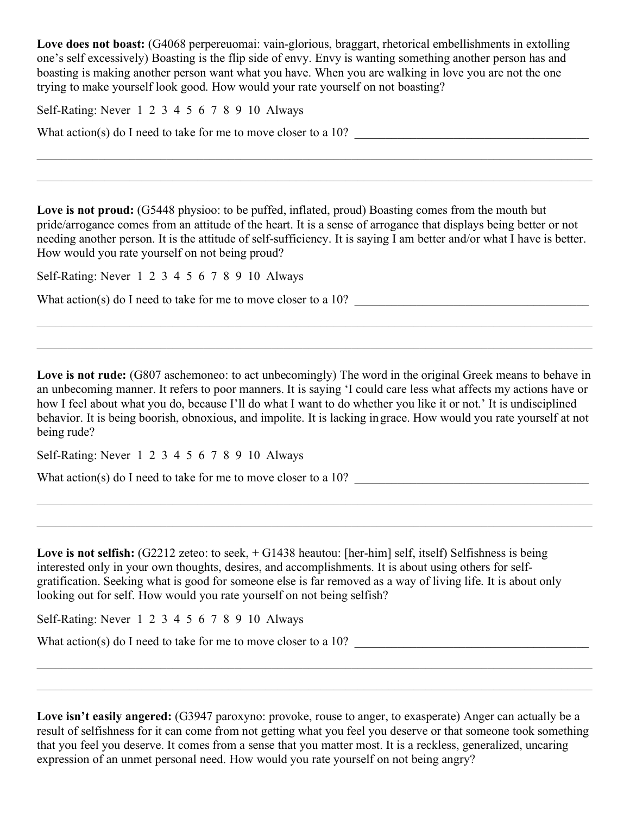Love does not boast: (G4068 perpereuomai: vain-glorious, braggart, rhetorical embellishments in extolling one's self excessively) Boasting is the flip side of envy. Envy is wanting something another person has and boasting is making another person want what you have. When you are walking in love you are not the one trying to make yourself look good. How would your rate yourself on not boasting?

Self-Rating: Never 1 2 3 4 5 6 7 8 9 10 Always

What action(s) do I need to take for me to move closer to a  $10$ ?

Love is not proud: (G5448 physioo: to be puffed, inflated, proud) Boasting comes from the mouth but pride/arrogance comes from an attitude of the heart. It is a sense of arrogance that displays being better or not needing another person. It is the attitude of self-sufficiency. It is saying I am better and/or what I have is better. How would you rate yourself on not being proud?

 $\_$  , and the contribution of the contribution of the contribution of the contribution of the contribution of  $\mathcal{L}_\text{max}$ 

 $\_$  , and the contribution of the contribution of the contribution of the contribution of the contribution of  $\mathcal{L}_\text{max}$ 

Self-Rating: Never 1 2 3 4 5 6 7 8 9 10 Always

What action(s) do I need to take for me to move closer to a 10?

Love is not rude: (G807 aschemoneo: to act unbecomingly) The word in the original Greek means to behave in an unbecoming manner. It refers to poor manners. It is saying 'I could care less what affects my actions have or how I feel about what you do, because I'll do what I want to do whether you like it or not.' It is undisciplined behavior. It is being boorish, obnoxious, and impolite. It is lacking ingrace. How would you rate yourself at not being rude?

 $\mathcal{L}_\mathcal{L} = \mathcal{L}_\mathcal{L} = \mathcal{L}_\mathcal{L} = \mathcal{L}_\mathcal{L} = \mathcal{L}_\mathcal{L} = \mathcal{L}_\mathcal{L} = \mathcal{L}_\mathcal{L} = \mathcal{L}_\mathcal{L} = \mathcal{L}_\mathcal{L} = \mathcal{L}_\mathcal{L} = \mathcal{L}_\mathcal{L} = \mathcal{L}_\mathcal{L} = \mathcal{L}_\mathcal{L} = \mathcal{L}_\mathcal{L} = \mathcal{L}_\mathcal{L} = \mathcal{L}_\mathcal{L} = \mathcal{L}_\mathcal{L}$ 

 $\mathcal{L}_\mathcal{L} = \mathcal{L}_\mathcal{L} = \mathcal{L}_\mathcal{L} = \mathcal{L}_\mathcal{L} = \mathcal{L}_\mathcal{L} = \mathcal{L}_\mathcal{L} = \mathcal{L}_\mathcal{L} = \mathcal{L}_\mathcal{L} = \mathcal{L}_\mathcal{L} = \mathcal{L}_\mathcal{L} = \mathcal{L}_\mathcal{L} = \mathcal{L}_\mathcal{L} = \mathcal{L}_\mathcal{L} = \mathcal{L}_\mathcal{L} = \mathcal{L}_\mathcal{L} = \mathcal{L}_\mathcal{L} = \mathcal{L}_\mathcal{L}$ 

 $\_$  , and the contribution of the contribution of the contribution of the contribution of the contribution of  $\mathcal{L}_\text{max}$ 

 $\_$  , and the contribution of the contribution of the contribution of the contribution of the contribution of  $\mathcal{L}_\text{max}$ 

Self-Rating: Never 1 2 3 4 5 6 7 8 9 10 Always

What action(s) do I need to take for me to move closer to a  $10$ ?

Love is not selfish: (G2212 zeteo: to seek,  $+$  G1438 heautou: [her-him] self, itself) Selfishness is being interested only in your own thoughts, desires, and accomplishments. It is about using others for selfgratification. Seeking what is good for someone else is far removed as a way of living life. It is about only looking out for self. How would you rate yourself on not being selfish?

Self-Rating: Never 1 2 3 4 5 6 7 8 9 10 Always

What action(s) do I need to take for me to move closer to a 10?

**Love isn't easily angered:** (G3947 paroxyno: provoke, rouse to anger, to exasperate) Anger can actually be a result of selfishness for it can come from not getting what you feel you deserve or that someone took something that you feel you deserve. It comes from a sense that you matter most. It is a reckless, generalized, uncaring expression of an unmet personal need. How would you rate yourself on not being angry?

 $\mathcal{L}_\mathcal{L} = \mathcal{L}_\mathcal{L} = \mathcal{L}_\mathcal{L} = \mathcal{L}_\mathcal{L} = \mathcal{L}_\mathcal{L} = \mathcal{L}_\mathcal{L} = \mathcal{L}_\mathcal{L} = \mathcal{L}_\mathcal{L} = \mathcal{L}_\mathcal{L} = \mathcal{L}_\mathcal{L} = \mathcal{L}_\mathcal{L} = \mathcal{L}_\mathcal{L} = \mathcal{L}_\mathcal{L} = \mathcal{L}_\mathcal{L} = \mathcal{L}_\mathcal{L} = \mathcal{L}_\mathcal{L} = \mathcal{L}_\mathcal{L}$ 

 $\mathcal{L}_\mathcal{L} = \mathcal{L}_\mathcal{L} = \mathcal{L}_\mathcal{L} = \mathcal{L}_\mathcal{L} = \mathcal{L}_\mathcal{L} = \mathcal{L}_\mathcal{L} = \mathcal{L}_\mathcal{L} = \mathcal{L}_\mathcal{L} = \mathcal{L}_\mathcal{L} = \mathcal{L}_\mathcal{L} = \mathcal{L}_\mathcal{L} = \mathcal{L}_\mathcal{L} = \mathcal{L}_\mathcal{L} = \mathcal{L}_\mathcal{L} = \mathcal{L}_\mathcal{L} = \mathcal{L}_\mathcal{L} = \mathcal{L}_\mathcal{L}$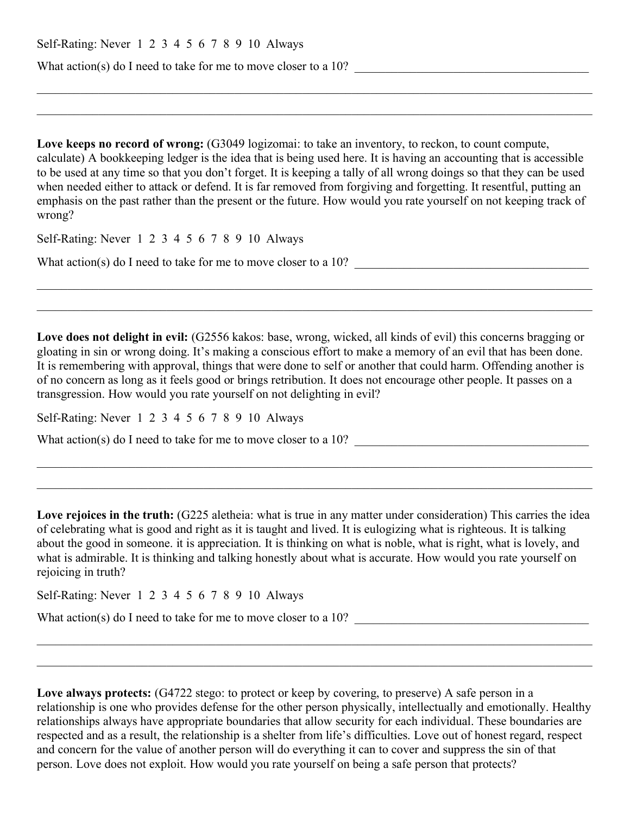| Self-Rating: Never 1 2 3 4 5 6 7 8 9 10 Always |  |  |  |  |  |  |  |  |  |  |  |
|------------------------------------------------|--|--|--|--|--|--|--|--|--|--|--|
|------------------------------------------------|--|--|--|--|--|--|--|--|--|--|--|

What action(s) do I need to take for me to move closer to a  $10$ ?

Love keeps no record of wrong: (G3049 logizomai: to take an inventory, to reckon, to count compute, calculate) A bookkeeping ledger is the idea that is being used here. It is having an accounting that is accessible to be used at any time so that you don't forget. It is keeping a tally of all wrong doings so that they can be used when needed either to attack or defend. It is far removed from forgiving and forgetting. It resentful, putting an emphasis on the past rather than the present or the future. How would you rate yourself on not keeping track of wrong?

 $\_$  , and the contribution of the contribution of the contribution of the contribution of the contribution of  $\mathcal{L}_\text{max}$ 

 $\_$  , and the contribution of the contribution of the contribution of the contribution of the contribution of  $\mathcal{L}_\text{max}$ 

Self-Rating: Never 1 2 3 4 5 6 7 8 9 10 Always

What action(s) do I need to take for me to move closer to a  $10$ ?

**Love does not delight in evil:** (G2556 kakos: base, wrong, wicked, all kinds of evil) this concerns bragging or gloating in sin or wrong doing. It's making a conscious effort to make a memory of an evil that has been done. It is remembering with approval, things that were done to self or another that could harm. Offending another is of no concern as long as it feels good or brings retribution. It does not encourage other people. It passes on a transgression. How would you rate yourself on not delighting in evil?

 $\_$  , and the contribution of the contribution of the contribution of the contribution of the contribution of  $\mathcal{L}_\text{max}$ 

 $\_$  , and the contribution of the contribution of the contribution of the contribution of the contribution of  $\mathcal{L}_\text{max}$ 

Self-Rating: Never 1 2 3 4 5 6 7 8 9 10 Always

What action(s) do I need to take for me to move closer to a 10?

Love rejoices in the truth: (G225 aletheia: what is true in any matter under consideration) This carries the idea of celebrating what is good and right as it is taught and lived. It is eulogizing what is righteous. It is talking about the good in someone. it is appreciation. It is thinking on what is noble, what is right, what is lovely, and what is admirable. It is thinking and talking honestly about what is accurate. How would you rate yourself on rejoicing in truth?

 $\mathcal{L}_\mathcal{L} = \mathcal{L}_\mathcal{L} = \mathcal{L}_\mathcal{L} = \mathcal{L}_\mathcal{L} = \mathcal{L}_\mathcal{L} = \mathcal{L}_\mathcal{L} = \mathcal{L}_\mathcal{L} = \mathcal{L}_\mathcal{L} = \mathcal{L}_\mathcal{L} = \mathcal{L}_\mathcal{L} = \mathcal{L}_\mathcal{L} = \mathcal{L}_\mathcal{L} = \mathcal{L}_\mathcal{L} = \mathcal{L}_\mathcal{L} = \mathcal{L}_\mathcal{L} = \mathcal{L}_\mathcal{L} = \mathcal{L}_\mathcal{L}$ 

 $\_$  , and the contribution of the contribution of the contribution of the contribution of the contribution of  $\mathcal{L}_\text{max}$ 

Self-Rating: Never 1 2 3 4 5 6 7 8 9 10 Always

What action(s) do I need to take for me to move closer to a  $10$ ?

Love always protects: (G4722 stego: to protect or keep by covering, to preserve) A safe person in a relationship is one who provides defense for the other person physically, intellectually and emotionally. Healthy relationships always have appropriate boundaries that allow security for each individual. These boundaries are respected and as a result, the relationship is a shelter from life's difficulties. Love out of honest regard, respect and concern for the value of another person will do everything it can to cover and suppress the sin of that person. Love does not exploit. How would you rate yourself on being a safe person that protects?

 $\_$  , and the contribution of the contribution of the contribution of the contribution of the contribution of  $\mathcal{L}_\text{max}$ 

 $\_$  , and the contribution of the contribution of the contribution of the contribution of the contribution of  $\mathcal{L}_\text{max}$